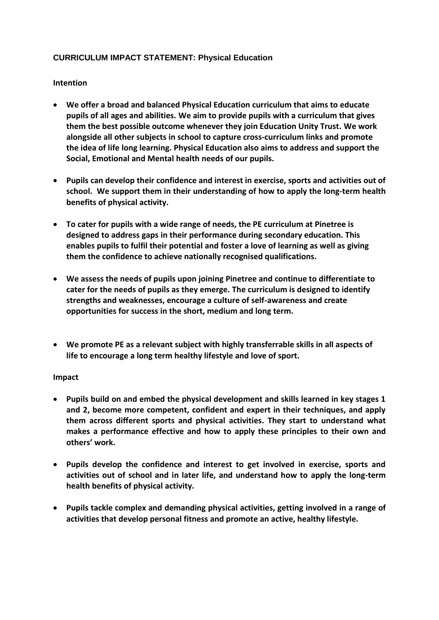## **CURRICULUM IMPACT STATEMENT: Physical Education**

## **Intention**

- **We offer a broad and balanced Physical Education curriculum that aims to educate pupils of all ages and abilities. We aim to provide pupils with a curriculum that gives them the best possible outcome whenever they join Education Unity Trust. We work alongside all other subjects in school to capture cross-curriculum links and promote the idea of life long learning. Physical Education also aims to address and support the Social, Emotional and Mental health needs of our pupils.**
- **Pupils can develop their confidence and interest in exercise, sports and activities out of school. We support them in their understanding of how to apply the long-term health benefits of physical activity.**
- **To cater for pupils with a wide range of needs, the PE curriculum at Pinetree is designed to address gaps in their performance during secondary education. This enables pupils to fulfil their potential and foster a love of learning as well as giving them the confidence to achieve nationally recognised qualifications.**
- **We assess the needs of pupils upon joining Pinetree and continue to differentiate to cater for the needs of pupils as they emerge. The curriculum is designed to identify strengths and weaknesses, encourage a culture of self-awareness and create opportunities for success in the short, medium and long term.**
- **We promote PE as a relevant subject with highly transferrable skills in all aspects of life to encourage a long term healthy lifestyle and love of sport.**

## **Impact**

- **Pupils build on and embed the physical development and skills learned in key stages 1 and 2, become more competent, confident and expert in their techniques, and apply them across different sports and physical activities. They start to understand what makes a performance effective and how to apply these principles to their own and others' work.**
- **Pupils develop the confidence and interest to get involved in exercise, sports and activities out of school and in later life, and understand how to apply the long-term health benefits of physical activity.**
- **Pupils tackle complex and demanding physical activities, getting involved in a range of activities that develop personal fitness and promote an active, healthy lifestyle.**